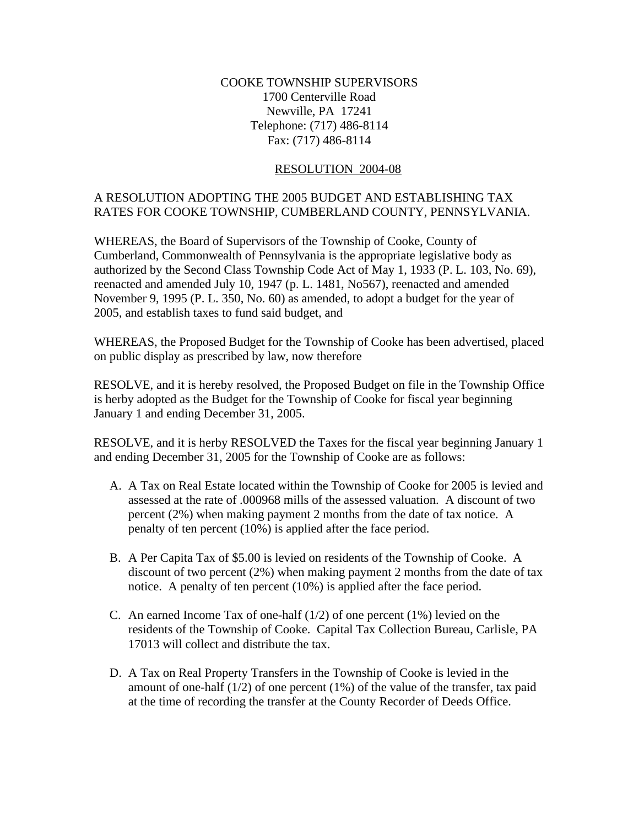## COOKE TOWNSHIP SUPERVISORS 1700 Centerville Road Newville, PA 17241 Telephone: (717) 486-8114 Fax: (717) 486-8114

## RESOLUTION 2004-08

## A RESOLUTION ADOPTING THE 2005 BUDGET AND ESTABLISHING TAX RATES FOR COOKE TOWNSHIP, CUMBERLAND COUNTY, PENNSYLVANIA.

WHEREAS, the Board of Supervisors of the Township of Cooke, County of Cumberland, Commonwealth of Pennsylvania is the appropriate legislative body as authorized by the Second Class Township Code Act of May 1, 1933 (P. L. 103, No. 69), reenacted and amended July 10, 1947 (p. L. 1481, No567), reenacted and amended November 9, 1995 (P. L. 350, No. 60) as amended, to adopt a budget for the year of 2005, and establish taxes to fund said budget, and

WHEREAS, the Proposed Budget for the Township of Cooke has been advertised, placed on public display as prescribed by law, now therefore

RESOLVE, and it is hereby resolved, the Proposed Budget on file in the Township Office is herby adopted as the Budget for the Township of Cooke for fiscal year beginning January 1 and ending December 31, 2005.

RESOLVE, and it is herby RESOLVED the Taxes for the fiscal year beginning January 1 and ending December 31, 2005 for the Township of Cooke are as follows:

- A. A Tax on Real Estate located within the Township of Cooke for 2005 is levied and assessed at the rate of .000968 mills of the assessed valuation. A discount of two percent (2%) when making payment 2 months from the date of tax notice. A penalty of ten percent (10%) is applied after the face period.
- B. A Per Capita Tax of \$5.00 is levied on residents of the Township of Cooke. A discount of two percent (2%) when making payment 2 months from the date of tax notice. A penalty of ten percent (10%) is applied after the face period.
- C. An earned Income Tax of one-half  $(1/2)$  of one percent  $(1%)$  levied on the residents of the Township of Cooke. Capital Tax Collection Bureau, Carlisle, PA 17013 will collect and distribute the tax.
- D. A Tax on Real Property Transfers in the Township of Cooke is levied in the amount of one-half  $(1/2)$  of one percent  $(1%)$  of the value of the transfer, tax paid at the time of recording the transfer at the County Recorder of Deeds Office.